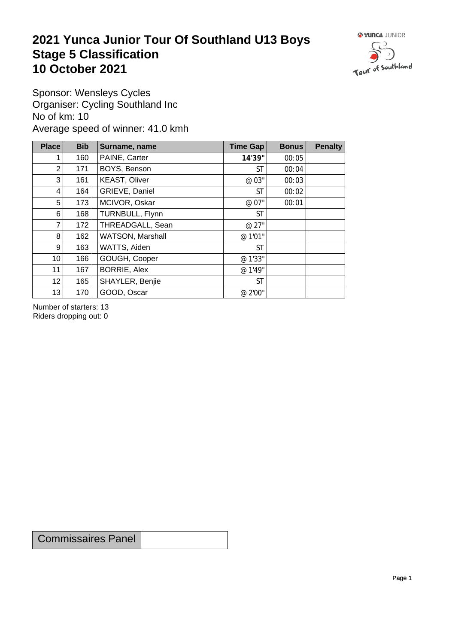## **2021 Yunca Junior Tour Of Southland U13 Boys** Stage 5 Classification<br>10 October 2021 **10 October 2021**



Sponsor: Wensleys Cycles Organiser: Cycling Southland Inc No of km: 10 Average speed of winner: 41.0 kmh

| <b>Place</b>    | <b>Bib</b> | Surname, name        | Time Gap  | <b>Bonus</b> | <b>Penalty</b> |
|-----------------|------------|----------------------|-----------|--------------|----------------|
|                 | 160        | PAINE, Carter        | 14'39"    | 00:05        |                |
| 2               | 171        | BOYS, Benson         | <b>ST</b> | 00:04        |                |
| 3               | 161        | <b>KEAST, Oliver</b> | @ 03"     | 00:03        |                |
| 4               | 164        | GRIEVE, Daniel       | <b>ST</b> | 00:02        |                |
| 5               | 173        | MCIVOR, Oskar        | @ 07"     | 00:01        |                |
| 6               | 168        | TURNBULL, Flynn      | <b>ST</b> |              |                |
| 7               | 172        | THREADGALL, Sean     | @ 27"     |              |                |
| 8               | 162        | WATSON, Marshall     | @ 1'01"   |              |                |
| 9               | 163        | WATTS, Aiden         | <b>ST</b> |              |                |
| 10 <sup>1</sup> | 166        | GOUGH, Cooper        | @ 1'33"   |              |                |
| 11              | 167        | <b>BORRIE, Alex</b>  | @ 1'49"   |              |                |
| 12              | 165        | SHAYLER, Benjie      | <b>ST</b> |              |                |
| 13              | 170        | GOOD, Oscar          | @ 2'00"   |              |                |

Number of starters: 13 Riders dropping out: 0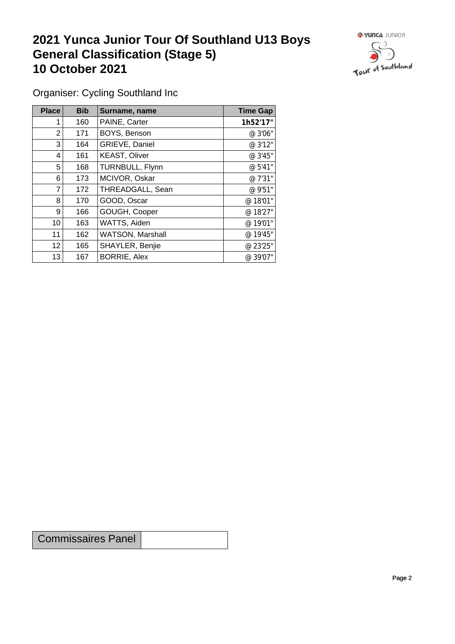## **2021 Yunca Junior Tour Of Southland U13 Boys General Classification (Stage 5)**<br> **10 October 2021 10 October 2021**



Organiser: Cycling Southland Inc

| Place           | <b>Bib</b> | Surname, name        | <b>Time Gap</b> |
|-----------------|------------|----------------------|-----------------|
|                 | 160        | PAINE, Carter        | 1h52'17"        |
| $\overline{2}$  | 171        | BOYS, Benson         | @ 3'06"         |
| 3               | 164        | GRIEVE, Daniel       | @ 3'12"         |
| 4               | 161        | <b>KEAST, Oliver</b> | @ 3'45"         |
| 5               | 168        | TURNBULL, Flynn      | @ 5'41"         |
| 6               | 173        | MCIVOR, Oskar        | @ 7'31"         |
| 7               | 172        | THREADGALL, Sean     | @ 9'51"         |
| 8               | 170        | GOOD, Oscar          | @ 18'01"        |
| 9 <sup>1</sup>  | 166        | GOUGH, Cooper        | @ 18'27"        |
| 10              | 163        | WATTS, Aiden         | @ 19'01"        |
| 11              | 162        | WATSON, Marshall     | @ 19'45"        |
| 12 <sup>°</sup> | 165        | SHAYLER, Benjie      | @ 23'25"        |
| 13              | 167        | <b>BORRIE, Alex</b>  | @ 39'07"        |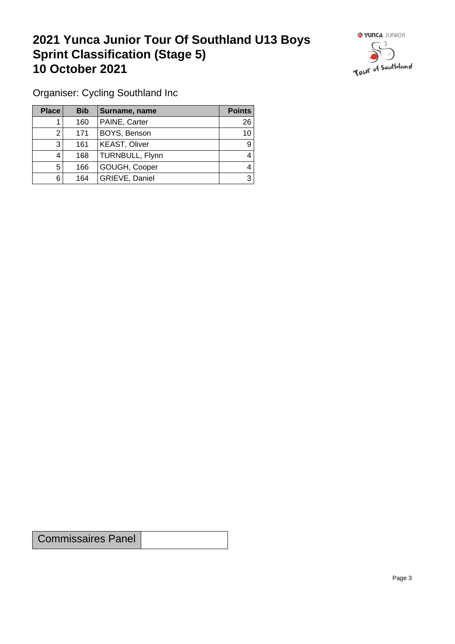## **2021 Yunca Junior Tour Of Southland U13 Boys Sprint Classification (Stage 5) 10 October 2021**



Organiser: Cycling Southland Inc

| Place | <b>Bib</b> | Surname, name        | <b>Points</b> |
|-------|------------|----------------------|---------------|
|       | 160        | PAINE, Carter        | 26            |
|       | 171        | BOYS, Benson         | 10            |
| 3     | 161        | <b>KEAST, Oliver</b> | 9             |
|       | 168        | TURNBULL, Flynn      | 4             |
| 5     | 166        | GOUGH, Cooper        | 4             |
| 6     | 164        | GRIEVE, Daniel       | 3             |